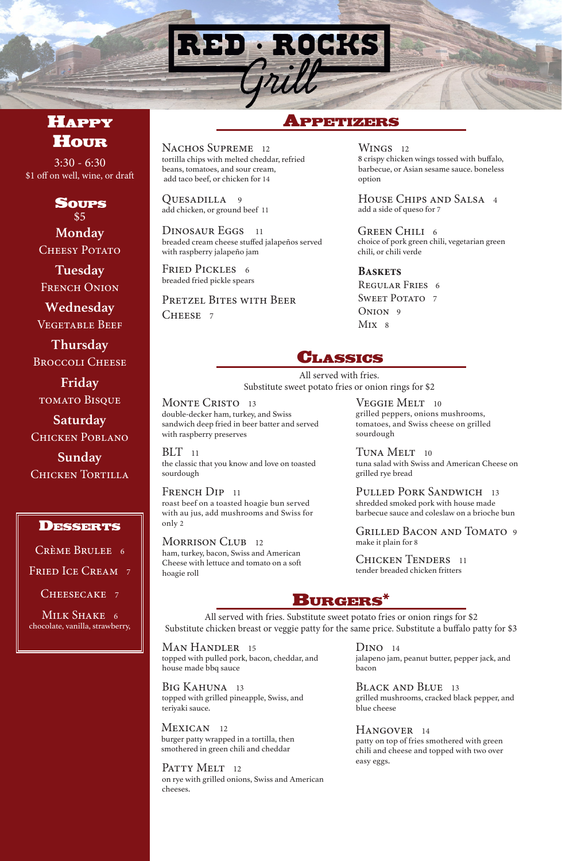

# **HAPPY HOUR**

NACHOS SUPREME 12 tortilla chips with melted cheddar, refried beans, tomatoes, and sour cream, add taco beef, or chicken for 14

WINGS 12 8 crispy chicken wings tossed with buffalo, barbecue, or Asian sesame sauce. boneless option

DINOSAUR EGGS 11 breaded cream cheese stuffed jalapeños served with raspberry jalapeño jam

QUESADILLA 9 add chicken, or ground beef 11

> **Baskets** Regular Fries 6 SWEET POTATO<sub>7</sub> ONION<sub>9</sub>  $Mix$  8

FRIED PICKLES 6 breaded fried pickle spears

PRETZEL BITES WITH BEER CHEESE 7

GREEN CHILI 6 choice of pork green chili, vegetarian green chili, or chili verde

## Appetizers

MONTE CRISTO 13 double-decker ham, turkey, and Swiss sandwich deep fried in beer batter and served with raspberry preserves

 $BLT$  11 the classic that you know and love on toasted sourdough

House Chips and Salsa 4 add a side of queso for 7

FRENCH DIP 11 roast beef on a toasted hoagie bun served with au jus, add mushrooms and Swiss for only 2

MORRISON CLUB 12 ham, turkey, bacon, Swiss and American Cheese with lettuce and tomato on a soft hoagie roll

VEGGIE MELT 10

PULLED PORK SANDWICH 13 shredded smoked pork with house made barbecue sauce and coleslaw on a brioche bun

grilled peppers, onions mushrooms, tomatoes, and Swiss cheese on grilled sourdough



# Burgers\*

All served with fries. Substitute sweet potato fries or onion rings for \$2

#### MEXICAN 12 burger patty wrapped in a tortilla, then smothered in green chili and cheddar

PATTY MELT 12 on rye with grilled onions, Swiss and American cheeses.

#### D<sub>INO</sub> 14

Grilled Bacon and Tomato 9 make it plain for 8

CHICKEN TENDERS 11 tender breaded chicken fritters

**Tuesday** FRENCH ONION

**Thursday** BROCCOLI CHEESE

> Tuna Melt 10 tuna salad with Swiss and American Cheese on grilled rye bread

**Sunday** CHICKEN TORTILLA

### **DESSERTS**

topped with grilled pineapple, Swiss, and teriyaki sauce.

topped with pulled pork, bacon, cheddar, and house made bbq sauce

## BIG KAHUNA 13

grilled mushrooms, cracked black pepper, and blue cheese

### HANGOVER 14

jalapeno jam, peanut butter, pepper jack, and bacon

### BLACK AND BLUE 13

patty on top of fries smothered with green chili and cheese and topped with two over easy eggs.

All served with fries. Substitute sweet potato fries or onion rings for \$2

Substitute chicken breast or veggie patty for the same price. Substitute a buffalo patty for \$3

#### MAN HANDLER 15

3:30 - 6:30 \$1 off on well, wine, or draft

> **Wednesday** Vegetable Beef

Soups **Monday** CHEESY POTATO \$5

**Friday** tomato Bisque

**Saturday** Chicken Poblano

Crème Brulee 6

FRIED ICE CREAM 7

CHEESECAKE 7

MILK SHAKE 6

chocolate, vanilla, strawberry,